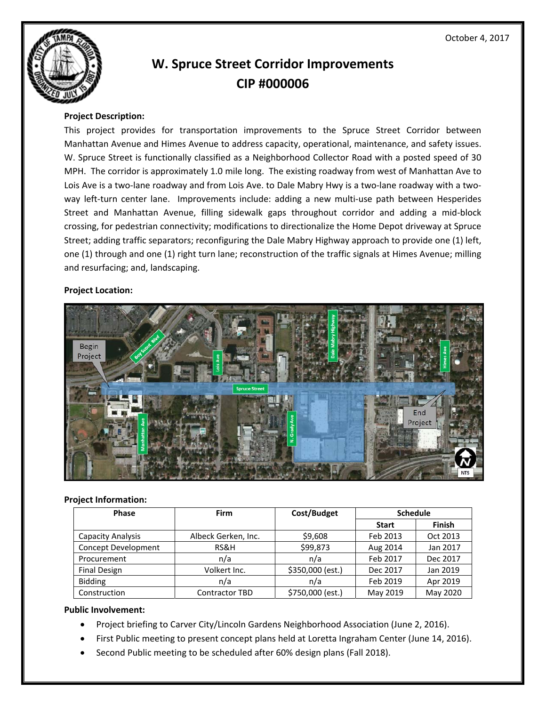

# **W. Spruce Street Corridor Improvements CIP #000006**

## **Project Description:**

This project provides for transportation improvements to the Spruce Street Corridor between Manhattan Avenue and Himes Avenue to address capacity, operational, maintenance, and safety issues. W. Spruce Street is functionally classified as a Neighborhood Collector Road with a posted speed of 30 MPH. The corridor is approximately 1.0 mile long. The existing roadway from west of Manhattan Ave to Lois Ave is a two-lane roadway and from Lois Ave. to Dale Mabry Hwy is a two-lane roadway with a twoway left-turn center lane. Improvements include: adding a new multi-use path between Hesperides Street and Manhattan Avenue, filling sidewalk gaps throughout corridor and adding a mid‐block crossing, for pedestrian connectivity; modifications to directionalize the Home Depot driveway at Spruce Street; adding traffic separators; reconfiguring the Dale Mabry Highway approach to provide one (1) left, one (1) through and one (1) right turn lane; reconstruction of the traffic signals at Himes Avenue; milling and resurfacing; and, landscaping.

#### **Project Location:**



#### **Project Information:**

| <b>Phase</b>             | <b>Firm</b>           | Cost/Budget      | <b>Schedule</b> |               |
|--------------------------|-----------------------|------------------|-----------------|---------------|
|                          |                       |                  | <b>Start</b>    | <b>Finish</b> |
| <b>Capacity Analysis</b> | Albeck Gerken, Inc.   | \$9,608          | Feb 2013        | Oct 2013      |
| Concept Development      | RS&H                  | \$99,873         | Aug 2014        | Jan 2017      |
| Procurement              | n/a                   | n/a              | Feb 2017        | Dec 2017      |
| <b>Final Design</b>      | Volkert Inc.          | \$350,000 (est.) | Dec 2017        | Jan 2019      |
| <b>Bidding</b>           | n/a                   | n/a              | Feb 2019        | Apr 2019      |
| Construction             | <b>Contractor TBD</b> | \$750,000 (est.) | May 2019        | May 2020      |

### **Public Involvement:**

- Project briefing to Carver City/Lincoln Gardens Neighborhood Association (June 2, 2016).
- First Public meeting to present concept plans held at Loretta Ingraham Center (June 14, 2016).
- Second Public meeting to be scheduled after 60% design plans (Fall 2018).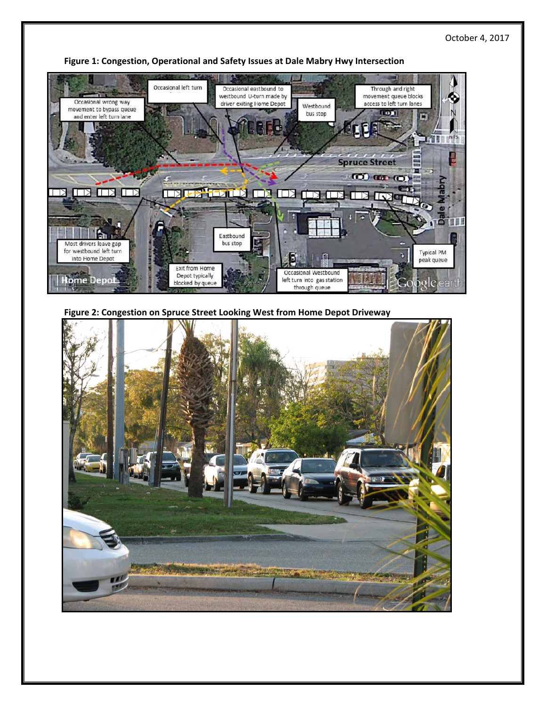

**Figure 1: Congestion, Operational and Safety Issues at Dale Mabry Hwy Intersection**

**Figure 2: Congestion on Spruce Street Looking West from Home Depot Driveway**